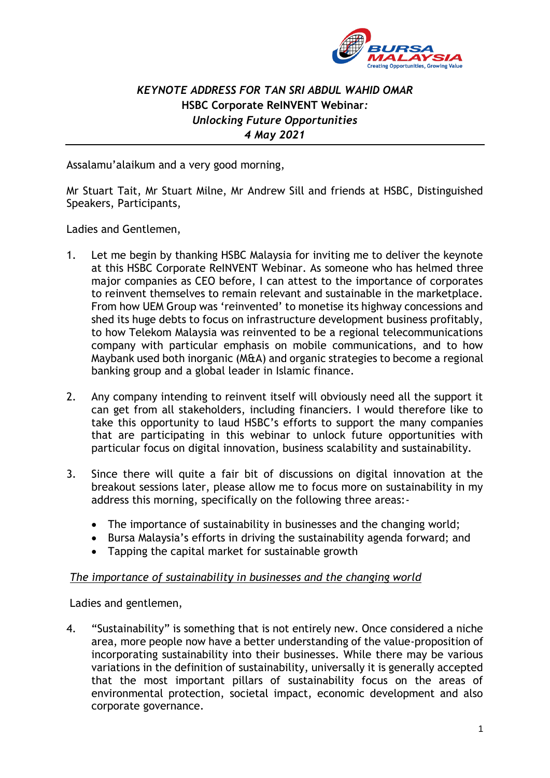

# *KEYNOTE ADDRESS FOR TAN SRI ABDUL WAHID OMAR* **HSBC Corporate ReINVENT Webinar***: Unlocking Future Opportunities 4 May 2021*

Assalamu'alaikum and a very good morning,

Mr Stuart Tait, Mr Stuart Milne, Mr Andrew Sill and friends at HSBC, Distinguished Speakers, Participants,

Ladies and Gentlemen,

- 1. Let me begin by thanking HSBC Malaysia for inviting me to deliver the keynote at this HSBC Corporate ReINVENT Webinar. As someone who has helmed three major companies as CEO before, I can attest to the importance of corporates to reinvent themselves to remain relevant and sustainable in the marketplace. From how UEM Group was 'reinvented' to monetise its highway concessions and shed its huge debts to focus on infrastructure development business profitably, to how Telekom Malaysia was reinvented to be a regional telecommunications company with particular emphasis on mobile communications, and to how Maybank used both inorganic (M&A) and organic strategies to become a regional banking group and a global leader in Islamic finance.
- 2. Any company intending to reinvent itself will obviously need all the support it can get from all stakeholders, including financiers. I would therefore like to take this opportunity to laud HSBC's efforts to support the many companies that are participating in this webinar to unlock future opportunities with particular focus on digital innovation, business scalability and sustainability.
- 3. Since there will quite a fair bit of discussions on digital innovation at the breakout sessions later, please allow me to focus more on sustainability in my address this morning, specifically on the following three areas:-
	- The importance of sustainability in businesses and the changing world;
	- Bursa Malaysia's efforts in driving the sustainability agenda forward; and
	- Tapping the capital market for sustainable growth

#### *The importance of sustainability in businesses and the changing world*

Ladies and gentlemen,

4. "Sustainability" is something that is not entirely new. Once considered a niche area, more people now have a better understanding of the value-proposition of incorporating sustainability into their businesses. While there may be various variations in the definition of sustainability, universally it is generally accepted that the most important pillars of sustainability focus on the areas of environmental protection, societal impact, economic development and also corporate governance.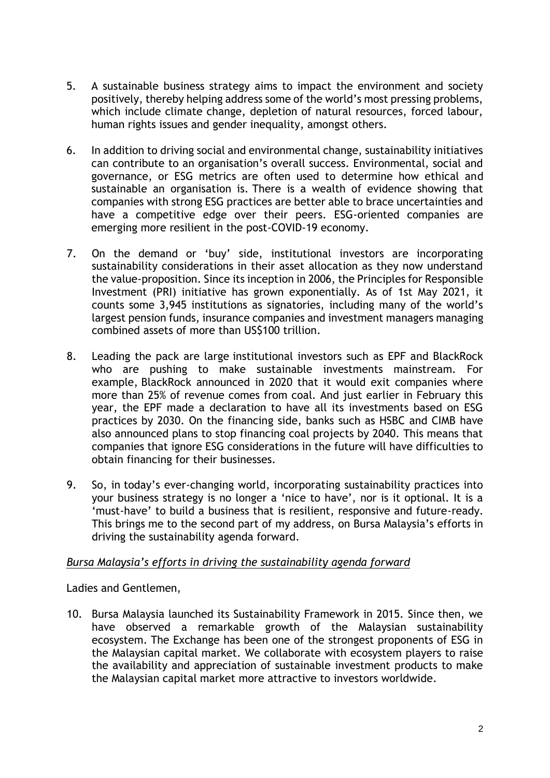- 5. A sustainable business strategy aims to impact the environment and society positively, thereby helping address some of the world's most pressing problems, which include climate change, depletion of natural resources, forced labour, human rights issues and gender inequality, amongst others.
- 6. In addition to driving social and environmental change, sustainability initiatives can contribute to an organisation's overall success. Environmental, social and governance, or ESG metrics are often used to determine how ethical and sustainable an organisation is. There is a wealth of evidence showing that companies with strong ESG practices are better able to brace uncertainties and have a competitive edge over their peers. ESG-oriented companies are emerging more resilient in the post-COVID-19 economy.
- 7. On the demand or 'buy' side, institutional investors are incorporating sustainability considerations in their asset allocation as they now understand the value-proposition. Since its inception in 2006, the Principles for Responsible Investment (PRI) initiative has grown exponentially. As of 1st May 2021, it counts some 3,945 institutions as signatories, including many of the world's largest pension funds, insurance companies and investment managers managing combined assets of more than US\$100 trillion.
- 8. Leading the pack are large institutional investors such as EPF and BlackRock who are pushing to make sustainable investments mainstream. For example, BlackRock announced in 2020 that it would exit companies where more than 25% of revenue comes from coal. And just earlier in February this year, the EPF made a declaration to have all its investments based on ESG practices by 2030. On the financing side, banks such as HSBC and CIMB have also announced plans to stop financing coal projects by 2040. This means that companies that ignore ESG considerations in the future will have difficulties to obtain financing for their businesses.
- 9. So, in today's ever-changing world, incorporating sustainability practices into your business strategy is no longer a 'nice to have', nor is it optional. It is a 'must-have' to build a business that is resilient, responsive and future-ready. This brings me to the second part of my address, on Bursa Malaysia's efforts in driving the sustainability agenda forward.

## *Bursa Malaysia's efforts in driving the sustainability agenda forward*

Ladies and Gentlemen,

10. Bursa Malaysia launched its Sustainability Framework in 2015. Since then, we have observed a remarkable growth of the Malaysian sustainability ecosystem. The Exchange has been one of the strongest proponents of ESG in the Malaysian capital market. We collaborate with ecosystem players to raise the availability and appreciation of sustainable investment products to make the Malaysian capital market more attractive to investors worldwide.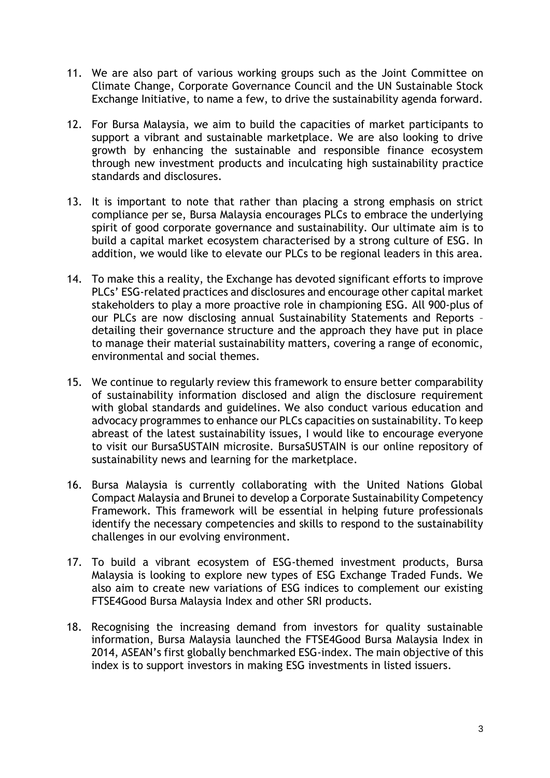- 11. We are also part of various working groups such as the Joint Committee on Climate Change, Corporate Governance Council and the UN Sustainable Stock Exchange Initiative, to name a few, to drive the sustainability agenda forward.
- 12. For Bursa Malaysia, we aim to build the capacities of market participants to support a vibrant and sustainable marketplace. We are also looking to drive growth by enhancing the sustainable and responsible finance ecosystem through new investment products and inculcating high sustainability practice standards and disclosures.
- 13. It is important to note that rather than placing a strong emphasis on strict compliance per se, Bursa Malaysia encourages PLCs to embrace the underlying spirit of good corporate governance and sustainability. Our ultimate aim is to build a capital market ecosystem characterised by a strong culture of ESG. In addition, we would like to elevate our PLCs to be regional leaders in this area.
- 14. To make this a reality, the Exchange has devoted significant efforts to improve PLCs' ESG-related practices and disclosures and encourage other capital market stakeholders to play a more proactive role in championing ESG. All 900-plus of our PLCs are now disclosing annual Sustainability Statements and Reports – detailing their governance structure and the approach they have put in place to manage their material sustainability matters, covering a range of economic, environmental and social themes.
- 15. We continue to regularly review this framework to ensure better comparability of sustainability information disclosed and align the disclosure requirement with global standards and guidelines. We also conduct various education and advocacy programmes to enhance our PLCs capacities on sustainability. To keep abreast of the latest sustainability issues, I would like to encourage everyone to visit our BursaSUSTAIN microsite. BursaSUSTAIN is our online repository of sustainability news and learning for the marketplace.
- 16. Bursa Malaysia is currently collaborating with the United Nations Global Compact Malaysia and Brunei to develop a Corporate Sustainability Competency Framework. This framework will be essential in helping future professionals identify the necessary competencies and skills to respond to the sustainability challenges in our evolving environment.
- 17. To build a vibrant ecosystem of ESG-themed investment products, Bursa Malaysia is looking to explore new types of ESG Exchange Traded Funds. We also aim to create new variations of ESG indices to complement our existing FTSE4Good Bursa Malaysia Index and other SRI products.
- 18. Recognising the increasing demand from investors for quality sustainable information, Bursa Malaysia launched the FTSE4Good Bursa Malaysia Index in 2014, ASEAN's first globally benchmarked ESG-index. The main objective of this index is to support investors in making ESG investments in listed issuers.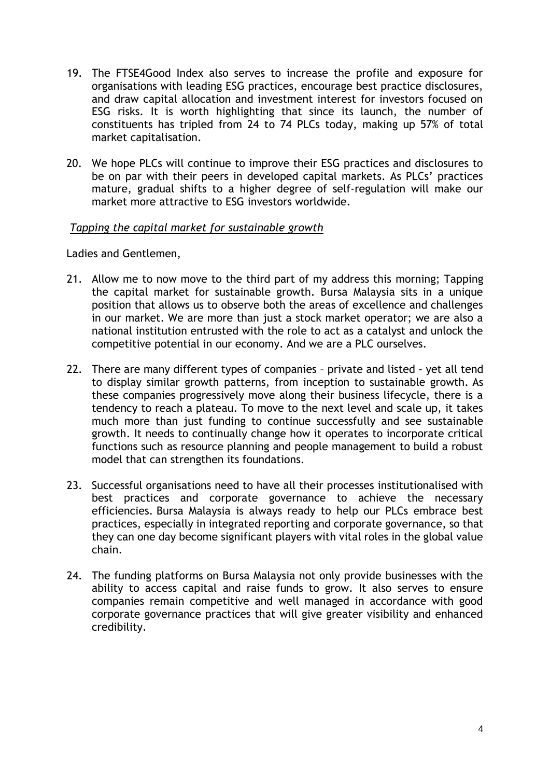- 19. The FTSE4Good Index also serves to increase the profile and exposure for organisations with leading ESG practices, encourage best practice disclosures, and draw capital allocation and investment interest for investors focused on ESG risks. It is worth highlighting that since its launch, the number of constituents has tripled from 24 to 74 PLCs today, making up 57% of total market capitalisation.
- 20. We hope PLCs will continue to improve their ESG practices and disclosures to be on par with their peers in developed capital markets. As PLCs' practices mature, gradual shifts to a higher degree of self-regulation will make our market more attractive to ESG investors worldwide.

#### *Tapping the capital market for sustainable growth*

Ladies and Gentlemen,

- 21. Allow me to now move to the third part of my address this morning; Tapping the capital market for sustainable growth. Bursa Malaysia sits in a unique position that allows us to observe both the areas of excellence and challenges in our market. We are more than just a stock market operator; we are also a national institution entrusted with the role to act as a catalyst and unlock the competitive potential in our economy. And we are a PLC ourselves.
- 22. There are many different types of companies private and listed yet all tend to display similar growth patterns, from inception to sustainable growth. As these companies progressively move along their business lifecycle, there is a tendency to reach a plateau. To move to the next level and scale up, it takes much more than just funding to continue successfully and see sustainable growth. It needs to continually change how it operates to incorporate critical functions such as resource planning and people management to build a robust model that can strengthen its foundations.
- 23. Successful organisations need to have all their processes institutionalised with best practices and corporate governance to achieve the necessary efficiencies. Bursa Malaysia is always ready to help our PLCs embrace best practices, especially in integrated reporting and corporate governance, so that they can one day become significant players with vital roles in the global value chain.
- 24. The funding platforms on Bursa Malaysia not only provide businesses with the ability to access capital and raise funds to grow. It also serves to ensure companies remain competitive and well managed in accordance with good corporate governance practices that will give greater visibility and enhanced credibility.